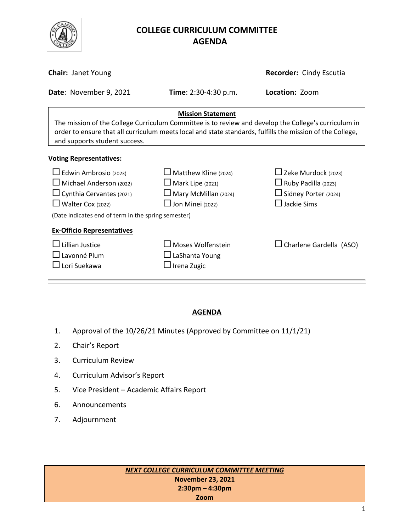

# **COLLEGE CURRICULUM COMMITTEE** **AGENDA**

| <b>Chair: Janet Young</b>                                                                                                                                                                                                                                                      |                                                                                                                  | Recorder: Cindy Escutia                                                                                       |  |
|--------------------------------------------------------------------------------------------------------------------------------------------------------------------------------------------------------------------------------------------------------------------------------|------------------------------------------------------------------------------------------------------------------|---------------------------------------------------------------------------------------------------------------|--|
| Date: November 9, 2021                                                                                                                                                                                                                                                         | Time: 2:30-4:30 p.m.                                                                                             | Location: Zoom                                                                                                |  |
| <b>Mission Statement</b><br>The mission of the College Curriculum Committee is to review and develop the College's curriculum in<br>order to ensure that all curriculum meets local and state standards, fulfills the mission of the College,<br>and supports student success. |                                                                                                                  |                                                                                                               |  |
| <b>Voting Representatives:</b>                                                                                                                                                                                                                                                 |                                                                                                                  |                                                                                                               |  |
| $\Box$ Edwin Ambrosio (2023)<br>$\Box$ Michael Anderson (2022)<br>$\Box$ Cynthia Cervantes (2021)<br>$\Box$ Walter Cox (2022)<br>(Date indicates end of term in the spring semester)                                                                                           | $\Box$ Matthew Kline (2024)<br>$\Box$ Mark Lipe (2021)<br>$\Box$ Mary McMillan (2024)<br>$\Box$ Jon Minei (2022) | $\Box$ Zeke Murdock (2023)<br>$\Box$ Ruby Padilla (2023)<br>$\Box$ Sidney Porter (2024)<br>$\Box$ Jackie Sims |  |
| <b>Ex-Officio Representatives</b><br>Lillian Justice<br>$\square$ Lavonné Plum<br>$\sqcup$ Lori Suekawa                                                                                                                                                                        | $\Box$ Moses Wolfenstein<br>$\Box$ LaShanta Young<br>$\Box$ Irena Zugic                                          | $\Box$ Charlene Gardella (ASO)                                                                                |  |

### **AGENDA**

- 1. Approval of the 10/26/21 Minutes (Approved by Committee on 11/1/21)
- 2. Chair's Report
- 3. Curriculum Review
- 4. Curriculum Advisor's Report
- 5. Vice President Academic Affairs Report
- 6. Announcements
- 7. Adjournment

*NEXT COLLEGE CURRICULUM COMMITTEE MEETING* **November 23, 2021 2:30pm – 4:30pm Zoom**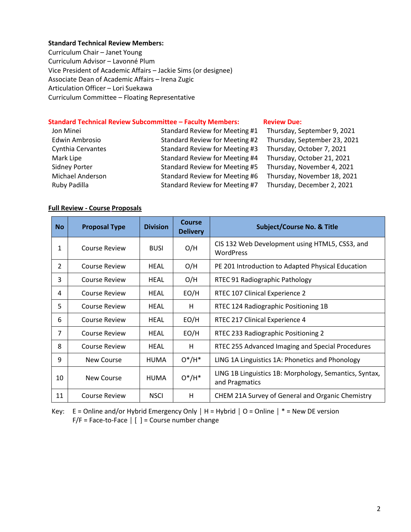#### **Standard Technical Review Members:**

Curriculum Chair – Janet Young Curriculum Advisor – Lavonné Plum Vice President of Academic Affairs – Jackie Sims (or designee) Associate Dean of Academic Affairs – Irena Zugic Articulation Officer – Lori Suekawa Curriculum Committee – Floating Representative

#### **Standard Technical Review Subcommittee – Faculty Members: [Review](http://www.curricunet.com/elcamino/documents/Spring%202016%20CCC%20Timeline.pdf) Due:**

| Jon Minei             | Standard Review for Meeting #1 | Thursday, September 9, 2021  |
|-----------------------|--------------------------------|------------------------------|
| <b>Edwin Ambrosio</b> | Standard Review for Meeting #2 | Thursday, September 23, 2021 |
| Cynthia Cervantes     | Standard Review for Meeting #3 | Thursday, October 7, 2021    |
| Mark Lipe             | Standard Review for Meeting #4 | Thursday, October 21, 2021   |
| <b>Sidney Porter</b>  | Standard Review for Meeting #5 | Thursday, November 4, 2021   |
| Michael Anderson      | Standard Review for Meeting #6 | Thursday, November 18, 2021  |
| Ruby Padilla          | Standard Review for Meeting #7 | Thursday, December 2, 2021   |

#### **Full Review - Course Proposals**

| <b>No</b>      | <b>Proposal Type</b> | <b>Division</b> | Course<br><b>Delivery</b> | <b>Subject/Course No. &amp; Title</b>                                    |
|----------------|----------------------|-----------------|---------------------------|--------------------------------------------------------------------------|
| 1              | Course Review        | <b>BUSI</b>     | O/H                       | CIS 132 Web Development using HTML5, CSS3, and<br>WordPress              |
| $\overline{2}$ | <b>Course Review</b> | HEAL            | O/H                       | PE 201 Introduction to Adapted Physical Education                        |
| 3              | Course Review        | HEAL            | O/H                       | RTEC 91 Radiographic Pathology                                           |
| 4              | Course Review        | HEAL            | EO/H                      | RTEC 107 Clinical Experience 2                                           |
| 5              | <b>Course Review</b> | <b>HEAL</b>     | H                         | RTEC 124 Radiographic Positioning 1B                                     |
| 6              | <b>Course Review</b> | HEAL            | EO/H                      | RTEC 217 Clinical Experience 4                                           |
| $\overline{7}$ | <b>Course Review</b> | HEAL            | EO/H                      | RTEC 233 Radiographic Positioning 2                                      |
| 8              | Course Review        | HEAL            | H                         | RTEC 255 Advanced Imaging and Special Procedures                         |
| 9              | New Course           | <b>HUMA</b>     | $O^*/H^*$                 | LING 1A Linguistics 1A: Phonetics and Phonology                          |
| 10             | New Course           | <b>HUMA</b>     | $O^*/H^*$                 | LING 1B Linguistics 1B: Morphology, Semantics, Syntax,<br>and Pragmatics |
| 11             | <b>Course Review</b> | <b>NSCI</b>     | H                         | CHEM 21A Survey of General and Organic Chemistry                         |

Key: E = Online and/or Hybrid Emergency Only **│** H = Hybrid **│** O = Online **│** \* = New DE version F/F = Face-to-Face **│** [ ] = Course number change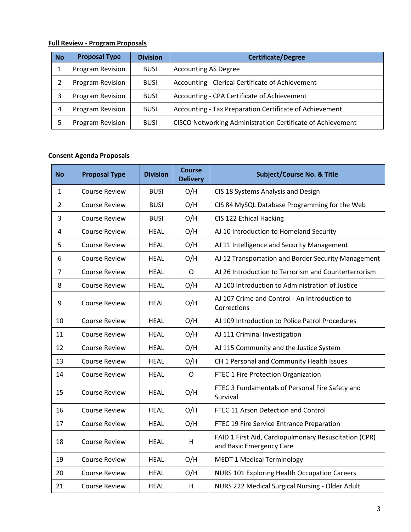#### **Full Review - Program Proposals**

| <b>No</b> | <b>Proposal Type</b> | <b>Division</b> | <b>Certificate/Degree</b>                                  |
|-----------|----------------------|-----------------|------------------------------------------------------------|
|           | Program Revision     | <b>BUSI</b>     | <b>Accounting AS Degree</b>                                |
|           | Program Revision     | <b>BUSI</b>     | Accounting - Clerical Certificate of Achievement           |
|           | Program Revision     | <b>BUSI</b>     | Accounting - CPA Certificate of Achievement                |
| 4         | Program Revision     | <b>BUSI</b>     | Accounting - Tax Preparation Certificate of Achievement    |
|           | Program Revision     | <b>BUSI</b>     | CISCO Networking Administration Certificate of Achievement |

## **Consent Agenda Proposals**

| <b>No</b>      | <b>Proposal Type</b> | <b>Division</b> | <b>Course</b><br><b>Delivery</b> | <b>Subject/Course No. &amp; Title</b>                                             |
|----------------|----------------------|-----------------|----------------------------------|-----------------------------------------------------------------------------------|
| 1              | <b>Course Review</b> | <b>BUSI</b>     | O/H                              | CIS 18 Systems Analysis and Design                                                |
| $\overline{2}$ | <b>Course Review</b> | <b>BUSI</b>     | O/H                              | CIS 84 MySQL Database Programming for the Web                                     |
| 3              | <b>Course Review</b> | <b>BUSI</b>     | O/H                              | CIS 122 Ethical Hacking                                                           |
| 4              | <b>Course Review</b> | <b>HEAL</b>     | O/H                              | AJ 10 Introduction to Homeland Security                                           |
| 5              | <b>Course Review</b> | <b>HEAL</b>     | O/H                              | AJ 11 Intelligence and Security Management                                        |
| 6              | <b>Course Review</b> | <b>HEAL</b>     | O/H                              | AJ 12 Transportation and Border Security Management                               |
| $\overline{7}$ | <b>Course Review</b> | <b>HEAL</b>     | $\mathsf{O}$                     | AJ 26 Introduction to Terrorism and Counterterrorism                              |
| 8              | <b>Course Review</b> | <b>HEAL</b>     | O/H                              | AJ 100 Introduction to Administration of Justice                                  |
| 9              | <b>Course Review</b> | <b>HEAL</b>     | O/H                              | AJ 107 Crime and Control - An Introduction to<br>Corrections                      |
| 10             | <b>Course Review</b> | <b>HEAL</b>     | O/H                              | AJ 109 Introduction to Police Patrol Procedures                                   |
| 11             | <b>Course Review</b> | <b>HEAL</b>     | O/H                              | AJ 111 Criminal Investigation                                                     |
| 12             | <b>Course Review</b> | <b>HEAL</b>     | O/H                              | AJ 115 Community and the Justice System                                           |
| 13             | <b>Course Review</b> | <b>HEAL</b>     | O/H                              | CH 1 Personal and Community Health Issues                                         |
| 14             | <b>Course Review</b> | <b>HEAL</b>     | $\mathsf{O}$                     | FTEC 1 Fire Protection Organization                                               |
| 15             | <b>Course Review</b> | <b>HEAL</b>     | O/H                              | FTEC 3 Fundamentals of Personal Fire Safety and<br>Survival                       |
| 16             | <b>Course Review</b> | <b>HEAL</b>     | O/H                              | FTEC 11 Arson Detection and Control                                               |
| 17             | <b>Course Review</b> | <b>HEAL</b>     | O/H                              | FTEC 19 Fire Service Entrance Preparation                                         |
| 18             | <b>Course Review</b> | <b>HEAL</b>     | H                                | FAID 1 First Aid, Cardiopulmonary Resuscitation (CPR)<br>and Basic Emergency Care |
| 19             | <b>Course Review</b> | <b>HEAL</b>     | O/H                              | <b>MEDT 1 Medical Terminology</b>                                                 |
| 20             | <b>Course Review</b> | <b>HEAL</b>     | O/H                              | NURS 101 Exploring Health Occupation Careers                                      |
| 21             | <b>Course Review</b> | <b>HEAL</b>     | H                                | NURS 222 Medical Surgical Nursing - Older Adult                                   |